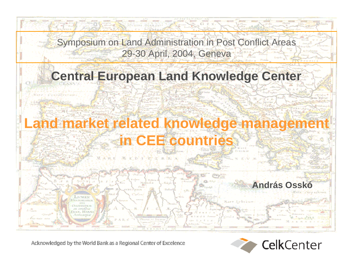

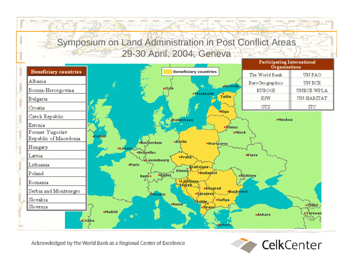**OVAINE OFFICER** 



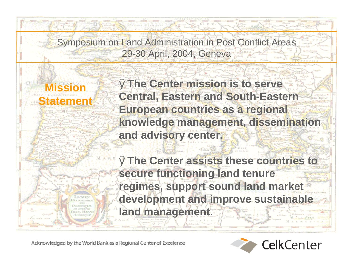> Ø**The Center mission is to serve Central, Eastern and South-Eastern European countries as a regional knowledge management, dissemination and advisory center.**

Ø**The Center assists these countries to secure functioning land tenure regimes, support sound land market development and improve sustainable land management.**

Acknowledged by the World Bank as a Regional Center of Excelence

**Mission** 

**Statement**

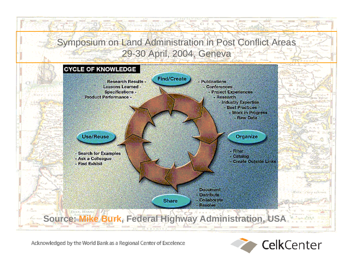

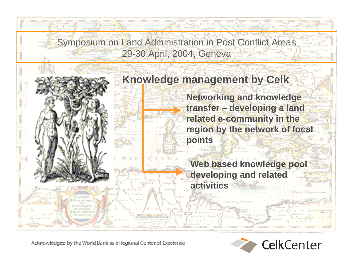

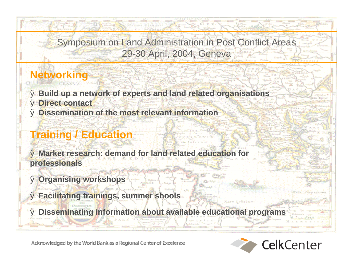# **Networking**

Ø **Build up a network of experts and land related organisations** Ø **Direct contact** Ø **Dissemination of the most relevant information**

# **Training / Education**

Ø **Market research: demand for land related education for professionals**

Ø **Organising workshops**

Ø **Facilitating trainings, summer shools**

Ø **Disseminating information about available educational programs**

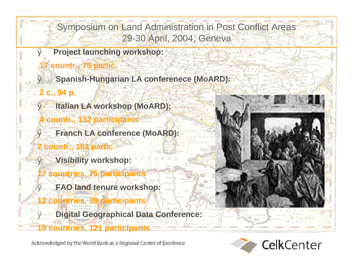- Ø **Project launching workshop:**
- **17 countr., 75 partic.**
	- Ø **Spanish-Hungarian LA conferenece (MoARD):**
- **2 c., 94 p.**
	- Ø **Italian LA workshop (MoARD):**
	- **4 countr., 132 participants**
- Ø **Franch LA conference (MoARD):**
- **2 countr., 161 partic***.*
- Ø **Visibility workshop:**
- **17 countries, 75 participants**
	- Ø **FAO land tenure workshop:**
- **12 countries, 39 participants**
- **Digital Geographical Data Conference 19 countries, 121 participants**

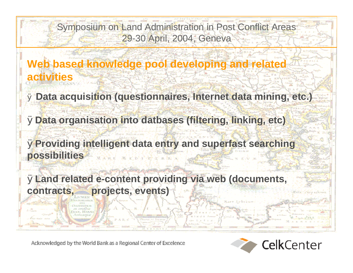**Web based knowledge pool developing and related activities**

Ø **Data acquisition (questionnaires, Internet data mining, etc.)**

Ø**Data organisation into datbases (filtering, linking, etc)**

Ø**Providing intelligent data entry and superfast searching possibilities**

Ø**Land related e-content providing via web (documents, contracts, projects, events)**

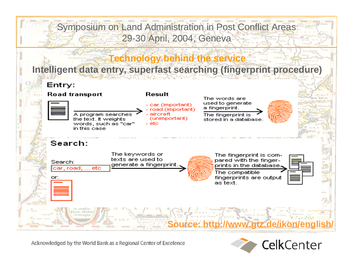

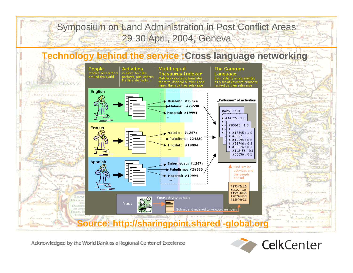

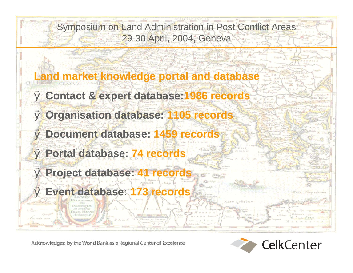**Land market knowledge portal and database** Ø **Contact & expert database:1986 records** Ø **Organisation database: 1105 records** Ø **Document database: 1459 records** Ø **Portal database: 74 records** Ø **Project database: 41 records** Ø **Event database: 173 records**

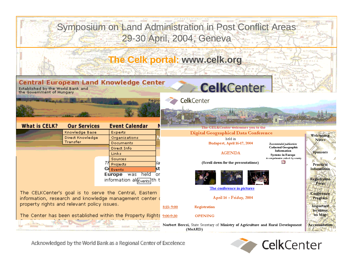

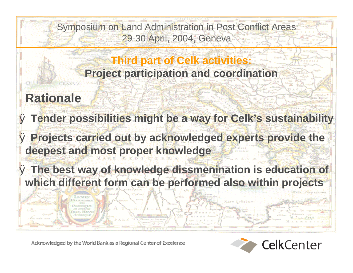## **Third part of Celk activities: Project participation and coordination**

# **Rationale**

Ø **Tender possibilities might be a way for Celk's sustainability**

Ø **Projects carried out by acknowledged experts provide the deepest and most proper knowledge**

Ø **The best way of knowledge dissmenination is education of which different form can be performed also within projects**

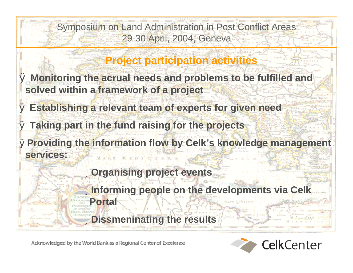## **Project participation activities**

- Ø **Monitoring the acrual needs and problems to be fulfilled and solved within a framework of a project**
- Ø **Establishing a relevant team of experts for given need**
- Ø **Taking part in the fund raising for the projects**
- Ø**Providing the information flow by Celk's knowledge management services:**
	- ü**Organising project events**
	- ü**Informing people on the developments via Celk Portal**

ü**Dissmeninating the results**

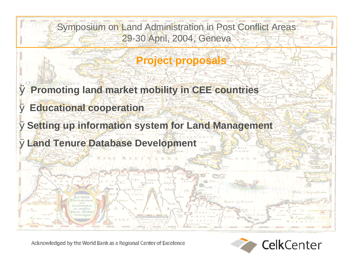### **Project proposals**

Ø **Promoting land market mobility in CEE countries**

Ø **Educational cooperation**

Ø**Setting up information system for Land Management**

Ø**Land Tenure Database Development**